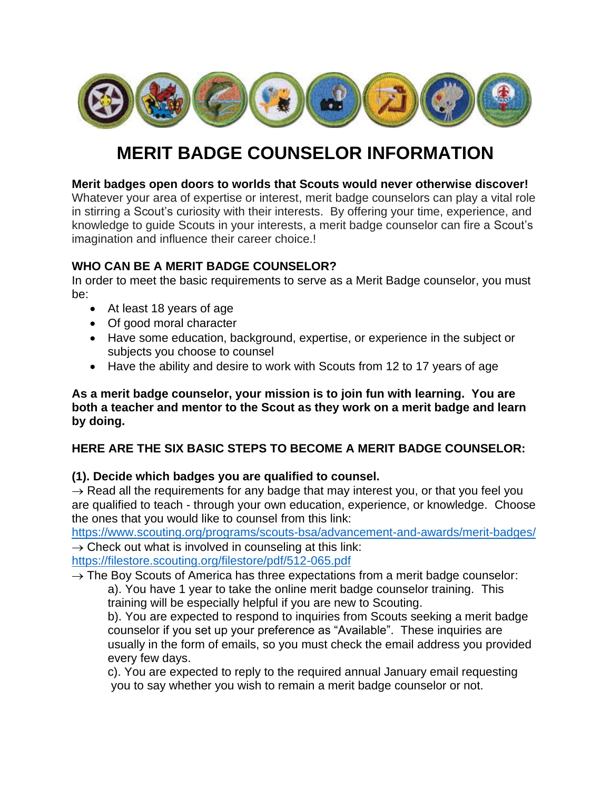

# **MERIT BADGE COUNSELOR INFORMATION**

#### **Merit badges open doors to worlds that Scouts would never otherwise discover!**

Whatever your area of expertise or interest, merit badge counselors can play a vital role in stirring a Scout's curiosity with their interests. By offering your time, experience, and knowledge to guide Scouts in your interests, a merit badge counselor can fire a Scout's imagination and influence their career choice.!

## **WHO CAN BE A MERIT BADGE COUNSELOR?**

In order to meet the basic requirements to serve as a Merit Badge counselor, you must be:

- At least 18 years of age
- Of good moral character
- Have some education, background, expertise, or experience in the subject or subjects you choose to counsel
- Have the ability and desire to work with Scouts from 12 to 17 years of age

**As a merit badge counselor, your mission is to join fun with learning. You are both a teacher and mentor to the Scout as they work on a merit badge and learn by doing.**

## **HERE ARE THE SIX BASIC STEPS TO BECOME A MERIT BADGE COUNSELOR:**

## **(1). Decide which badges you are qualified to counsel.**

 $\rightarrow$  Read all the requirements for any badge that may interest you, or that you feel you are qualified to teach - through your own education, experience, or knowledge. Choose the ones that you would like to counsel from this link:

<https://www.scouting.org/programs/scouts-bsa/advancement-and-awards/merit-badges/>  $\rightarrow$  Check out what is involved in counseling at this link:

<https://filestore.scouting.org/filestore/pdf/512-065.pdf>

 $\rightarrow$  The Boy Scouts of America has three expectations from a merit badge counselor:

a). You have 1 year to take the online merit badge counselor training. This training will be especially helpful if you are new to Scouting.

b). You are expected to respond to inquiries from Scouts seeking a merit badge counselor if you set up your preference as "Available". These inquiries are usually in the form of emails, so you must check the email address you provided every few days.

c). You are expected to reply to the required annual January email requesting you to say whether you wish to remain a merit badge counselor or not.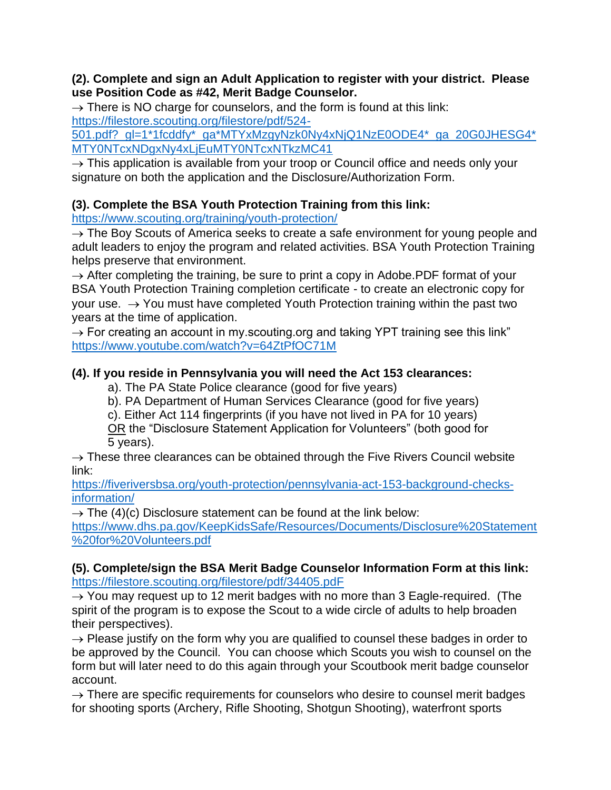#### **(2). Complete and sign an Adult Application to register with your district. Please use Position Code as #42, Merit Badge Counselor.**

 $\rightarrow$  There is NO charge for counselors, and the form is found at this link: [https://filestore.scouting.org/filestore/pdf/524-](https://filestore.scouting.org/filestore/pdf/524-501.pdf?_gl=1*1fcddfy*_ga*MTYxMzgyNzk0Ny4xNjQ1NzE0ODE4*_ga_20G0JHESG4*MTY0NTcxNDgxNy4xLjEuMTY0NTcxNTkzMC41)

501.pdf? ql=1\*1fcddfy\*\_qa\*MTYxMzqyNzk0Ny4xNjQ1NzE0ODE4\*\_qa\_20G0JHESG4\* [MTY0NTcxNDgxNy4xLjEuMTY0NTcxNTkzMC41](https://filestore.scouting.org/filestore/pdf/524-501.pdf?_gl=1*1fcddfy*_ga*MTYxMzgyNzk0Ny4xNjQ1NzE0ODE4*_ga_20G0JHESG4*MTY0NTcxNDgxNy4xLjEuMTY0NTcxNTkzMC41)

 $\rightarrow$  This application is available from your troop or Council office and needs only your signature on both the application and the Disclosure/Authorization Form.

# **(3). Complete the BSA Youth Protection Training from this link:**

<https://www.scouting.org/training/youth-protection/>

 $\rightarrow$  The Boy Scouts of America seeks to create a safe environment for young people and adult leaders to enjoy the program and related activities. BSA Youth Protection Training helps preserve that environment.

 $\rightarrow$  After completing the training, be sure to print a copy in Adobe. PDF format of your BSA Youth Protection Training completion certificate - to create an electronic copy for your use.  $\rightarrow$  You must have completed Youth Protection training within the past two years at the time of application.

 $\rightarrow$  For creating an account in my scouting org and taking YPT training see this link" <https://www.youtube.com/watch?v=64ZtPfOC71M>

# **(4). If you reside in Pennsylvania you will need the Act 153 clearances:**

a). The PA State Police clearance (good for five years)

b). PA Department of Human Services Clearance (good for five years)

c). Either Act 114 fingerprints (if you have not lived in PA for 10 years)

OR the "Disclosure Statement Application for Volunteers" (both good for 5 years).

 $\rightarrow$  These three clearances can be obtained through the Five Rivers Council website link:

[https://fiveriversbsa.org/youth-protection/pennsylvania-act-153-background-checks](https://fiveriversbsa.org/youth-protection/pennsylvania-act-153-background-checks-information/)[information/](https://fiveriversbsa.org/youth-protection/pennsylvania-act-153-background-checks-information/)

 $\rightarrow$  The (4)(c) Disclosure statement can be found at the link below:

[https://www.dhs.pa.gov/KeepKidsSafe/Resources/Documents/Disclosure%20Statement](https://www.dhs.pa.gov/KeepKidsSafe/Resources/Documents/Disclosure%20Statement%20for%20Volunteers.pdf) [%20for%20Volunteers.pdf](https://www.dhs.pa.gov/KeepKidsSafe/Resources/Documents/Disclosure%20Statement%20for%20Volunteers.pdf)

## **(5). Complete/sign the BSA Merit Badge Counselor Information Form at this link:** <https://filestore.scouting.org/filestore/pdf/34405.pdF>

 $\rightarrow$  You may request up to 12 merit badges with no more than 3 Eagle-required. (The spirit of the program is to expose the Scout to a wide circle of adults to help broaden their perspectives).

 $\rightarrow$  Please justify on the form why you are qualified to counsel these badges in order to be approved by the Council. You can choose which Scouts you wish to counsel on the form but will later need to do this again through your Scoutbook merit badge counselor account.

 $\rightarrow$  There are specific requirements for counselors who desire to counsel merit badges for shooting sports (Archery, Rifle Shooting, Shotgun Shooting), waterfront sports